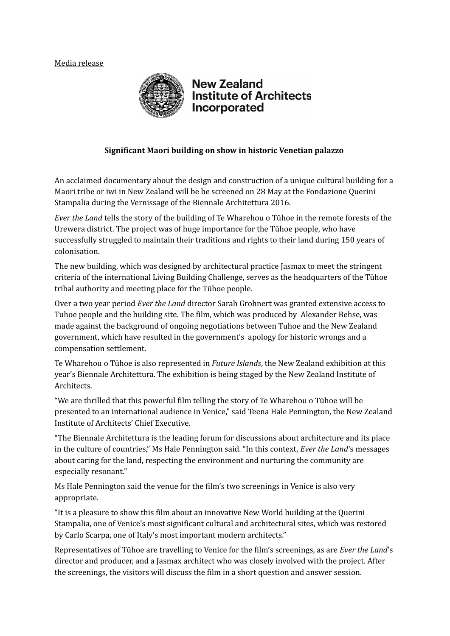## Media release



## **New Zealand Institute of Architects** Incorporated

## **Significant Maori building on show in historic Venetian palazzo**

An acclaimed documentary about the design and construction of a unique cultural building for a Maori tribe or iwi in New Zealand will be be screened on 28 May at the Fondazione Querini Stampalia during the Vernissage of the Biennale Architettura 2016.

*Ever the Land* tells the story of the building of Te Wharehou o Tūhoe in the remote forests of the Urewera district. The project was of huge importance for the Tūhoe people, who have successfully struggled to maintain their traditions and rights to their land during 150 years of colonisation.

The new building, which was designed by architectural practice Jasmax to meet the stringent criteria of the international Living Building Challenge, serves as the headquarters of the Tūhoe tribal authority and meeting place for the Tūhoe people.

Over a two year period *Ever the Land* director Sarah Grohnert was granted extensive access to Tuhoe people and the building site. The film, which was produced by Alexander Behse, was made against the background of ongoing negotiations between Tuhoe and the New Zealand government, which have resulted in the government's apology for historic wrongs and a compensation settlement.

Te Wharehou o Tūhoe is also represented in *Future Islands*, the New Zealand exhibition at this year's Biennale Architettura. The exhibition is being staged by the New Zealand Institute of Architects.

"We are thrilled that this powerful film telling the story of Te Wharehou o Tūhoe will be presented to an international audience in Venice," said Teena Hale Pennington, the New Zealand Institute of Architects' Chief Executive.

"The Biennale Architettura is the leading forum for discussions about architecture and its place in the culture of countries," Ms Hale Pennington said. "In this context, *Ever the Land'*s messages about caring for the land, respecting the environment and nurturing the community are especially resonant."

Ms Hale Pennington said the venue for the film's two screenings in Venice is also very appropriate.

"It is a pleasure to show this film about an innovative New World building at the Querini Stampalia, one of Venice's most significant cultural and architectural sites, which was restored by Carlo Scarpa, one of Italy's most important modern architects."

Representatives of Tūhoe are travelling to Venice for the film's screenings, as are *Ever the Land*'s director and producer, and a Jasmax architect who was closely involved with the project. After the screenings, the visitors will discuss the film in a short question and answer session.